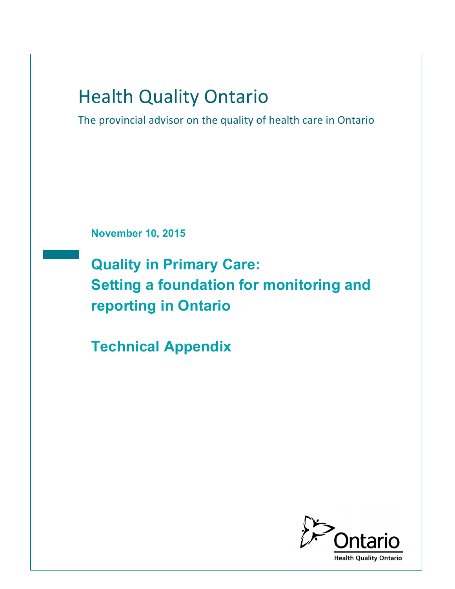# **Health Quality Ontario**

The provincial advisor on the quality of health care in Ontario

**November 10, 2015**

**Quality in Primary Care: Setting a foundation for monitoring and reporting in Ontario**

**Technical Appendix**

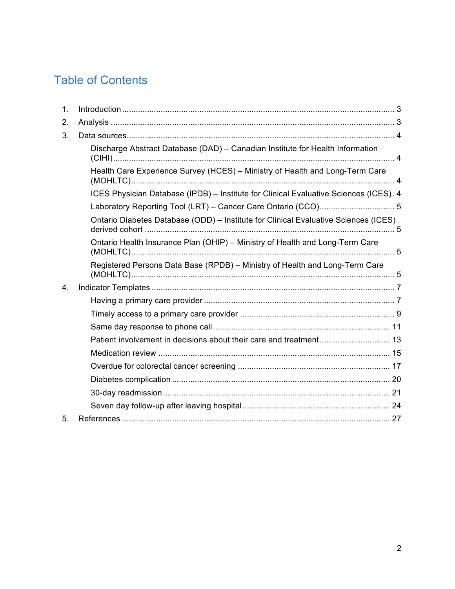# Table of Contents

| 1. |                                                                                       |  |  |
|----|---------------------------------------------------------------------------------------|--|--|
| 2. |                                                                                       |  |  |
| 3. |                                                                                       |  |  |
|    | Discharge Abstract Database (DAD) - Canadian Institute for Health Information         |  |  |
|    | Health Care Experience Survey (HCES) - Ministry of Health and Long-Term Care          |  |  |
|    | ICES Physician Database (IPDB) - Institute for Clinical Evaluative Sciences (ICES). 4 |  |  |
|    |                                                                                       |  |  |
|    | Ontario Diabetes Database (ODD) - Institute for Clinical Evaluative Sciences (ICES)   |  |  |
|    | Ontario Health Insurance Plan (OHIP) - Ministry of Health and Long-Term Care          |  |  |
|    | Registered Persons Data Base (RPDB) - Ministry of Health and Long-Term Care           |  |  |
| 4. |                                                                                       |  |  |
|    |                                                                                       |  |  |
|    |                                                                                       |  |  |
|    |                                                                                       |  |  |
|    |                                                                                       |  |  |
|    |                                                                                       |  |  |
|    |                                                                                       |  |  |
|    |                                                                                       |  |  |
|    |                                                                                       |  |  |
|    |                                                                                       |  |  |
| 5. |                                                                                       |  |  |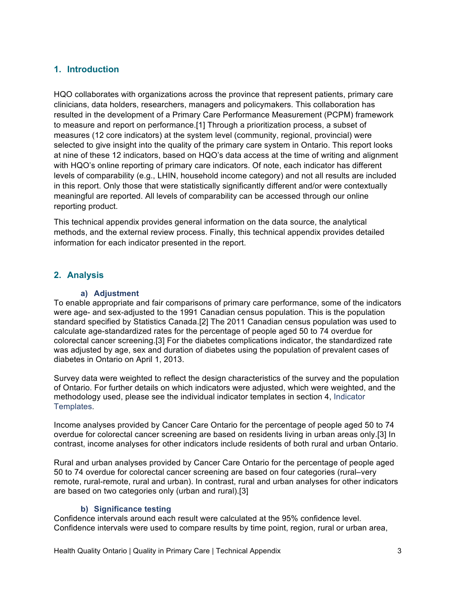## **1. Introduction**

HQO collaborates with organizations across the province that represent patients, primary care clinicians, data holders, researchers, managers and policymakers. This collaboration has resulted in the development of a Primary Care Performance Measurement (PCPM) framework to measure and report on performance.[1] Through a prioritization process, a subset of measures (12 core indicators) at the system level (community, regional, provincial) were selected to give insight into the quality of the primary care system in Ontario. This report looks at nine of these 12 indicators, based on HQO's data access at the time of writing and alignment with HQO's online reporting of primary care indicators. Of note, each indicator has different levels of comparability (e.g., LHIN, household income category) and not all results are included in this report. Only those that were statistically significantly different and/or were contextually meaningful are reported. All levels of comparability can be accessed through our online reporting product.

This technical appendix provides general information on the data source, the analytical methods, and the external review process. Finally, this technical appendix provides detailed information for each indicator presented in the report.

### **2. Analysis**

#### **a) Adjustment**

To enable appropriate and fair comparisons of primary care performance, some of the indicators were age- and sex-adjusted to the 1991 Canadian census population. This is the population standard specified by Statistics Canada.[2] The 2011 Canadian census population was used to calculate age-standardized rates for the percentage of people aged 50 to 74 overdue for colorectal cancer screening.[3] For the diabetes complications indicator, the standardized rate was adjusted by age, sex and duration of diabetes using the population of prevalent cases of diabetes in Ontario on April 1, 2013.

Survey data were weighted to reflect the design characteristics of the survey and the population of Ontario. For further details on which indicators were adjusted, which were weighted, and the methodology used, please see the individual indicator templates in section 4, Indicator Templates.

Income analyses provided by Cancer Care Ontario for the percentage of people aged 50 to 74 overdue for colorectal cancer screening are based on residents living in urban areas only.[3] In contrast, income analyses for other indicators include residents of both rural and urban Ontario.

Rural and urban analyses provided by Cancer Care Ontario for the percentage of people aged 50 to 74 overdue for colorectal cancer screening are based on four categories (rural–very remote, rural-remote, rural and urban). In contrast, rural and urban analyses for other indicators are based on two categories only (urban and rural).[3]

#### **b) Significance testing**

Confidence intervals around each result were calculated at the 95% confidence level. Confidence intervals were used to compare results by time point, region, rural or urban area,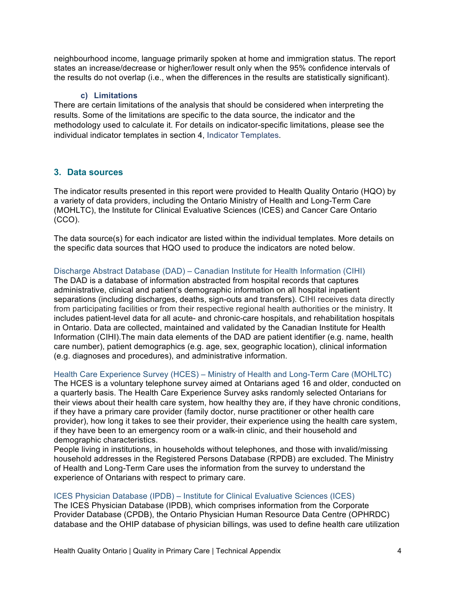neighbourhood income, language primarily spoken at home and immigration status. The report states an increase/decrease or higher/lower result only when the 95% confidence intervals of the results do not overlap (i.e., when the differences in the results are statistically significant).

#### **c) Limitations**

There are certain limitations of the analysis that should be considered when interpreting the results. Some of the limitations are specific to the data source, the indicator and the methodology used to calculate it. For details on indicator-specific limitations, please see the individual indicator templates in section 4, Indicator Templates.

#### **3. Data sources**

The indicator results presented in this report were provided to Health Quality Ontario (HQO) by a variety of data providers, including the Ontario Ministry of Health and Long-Term Care (MOHLTC), the Institute for Clinical Evaluative Sciences (ICES) and Cancer Care Ontario (CCO).

The data source(s) for each indicator are listed within the individual templates. More details on the specific data sources that HQO used to produce the indicators are noted below.

#### Discharge Abstract Database (DAD) – Canadian Institute for Health Information (CIHI)

The DAD is a database of information abstracted from hospital records that captures administrative, clinical and patient's demographic information on all hospital inpatient separations (including discharges, deaths, sign-outs and transfers). CIHI receives data directly from participating facilities or from their respective regional health authorities or the ministry. It includes patient-level data for all acute- and chronic-care hospitals, and rehabilitation hospitals in Ontario. Data are collected, maintained and validated by the Canadian Institute for Health Information (CIHI).The main data elements of the DAD are patient identifier (e.g. name, health care number), patient demographics (e.g. age, sex, geographic location), clinical information (e.g. diagnoses and procedures), and administrative information.

#### Health Care Experience Survey (HCES) – Ministry of Health and Long-Term Care (MOHLTC)

The HCES is a voluntary telephone survey aimed at Ontarians aged 16 and older, conducted on a quarterly basis. The Health Care Experience Survey asks randomly selected Ontarians for their views about their health care system, how healthy they are, if they have chronic conditions, if they have a primary care provider (family doctor, nurse practitioner or other health care provider), how long it takes to see their provider, their experience using the health care system, if they have been to an emergency room or a walk-in clinic, and their household and demographic characteristics.

People living in institutions, in households without telephones, and those with invalid/missing household addresses in the Registered Persons Database (RPDB) are excluded. The Ministry of Health and Long-Term Care uses the information from the survey to understand the experience of Ontarians with respect to primary care.

#### ICES Physician Database (IPDB) – Institute for Clinical Evaluative Sciences (ICES)

The ICES Physician Database (IPDB), which comprises information from the Corporate Provider Database (CPDB), the Ontario Physician Human Resource Data Centre (OPHRDC) database and the OHIP database of physician billings, was used to define health care utilization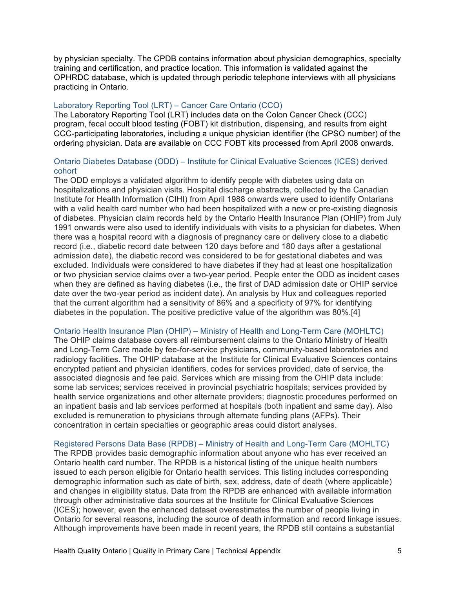by physician specialty. The CPDB contains information about physician demographics, specialty training and certification, and practice location. This information is validated against the OPHRDC database, which is updated through periodic telephone interviews with all physicians practicing in Ontario.

#### Laboratory Reporting Tool (LRT) – Cancer Care Ontario (CCO)

The Laboratory Reporting Tool (LRT) includes data on the Colon Cancer Check (CCC) program, fecal occult blood testing (FOBT) kit distribution, dispensing, and results from eight CCC-participating laboratories, including a unique physician identifier (the CPSO number) of the ordering physician. Data are available on CCC FOBT kits processed from April 2008 onwards.

#### Ontario Diabetes Database (ODD) – Institute for Clinical Evaluative Sciences (ICES) derived cohort

The ODD employs a validated algorithm to identify people with diabetes using data on hospitalizations and physician visits. Hospital discharge abstracts, collected by the Canadian Institute for Health Information (CIHI) from April 1988 onwards were used to identify Ontarians with a valid health card number who had been hospitalized with a new or pre-existing diagnosis of diabetes. Physician claim records held by the Ontario Health Insurance Plan (OHIP) from July 1991 onwards were also used to identify individuals with visits to a physician for diabetes. When there was a hospital record with a diagnosis of pregnancy care or delivery close to a diabetic record (i.e., diabetic record date between 120 days before and 180 days after a gestational admission date), the diabetic record was considered to be for gestational diabetes and was excluded. Individuals were considered to have diabetes if they had at least one hospitalization or two physician service claims over a two-year period. People enter the ODD as incident cases when they are defined as having diabetes (i.e., the first of DAD admission date or OHIP service date over the two-year period as incident date). An analysis by Hux and colleagues reported that the current algorithm had a sensitivity of 86% and a specificity of 97% for identifying diabetes in the population. The positive predictive value of the algorithm was 80%.[4]

#### Ontario Health Insurance Plan (OHIP) – Ministry of Health and Long-Term Care (MOHLTC)

The OHIP claims database covers all reimbursement claims to the Ontario Ministry of Health and Long-Term Care made by fee-for-service physicians, community-based laboratories and radiology facilities. The OHIP database at the Institute for Clinical Evaluative Sciences contains encrypted patient and physician identifiers, codes for services provided, date of service, the associated diagnosis and fee paid. Services which are missing from the OHIP data include: some lab services; services received in provincial psychiatric hospitals; services provided by health service organizations and other alternate providers; diagnostic procedures performed on an inpatient basis and lab services performed at hospitals (both inpatient and same day). Also excluded is remuneration to physicians through alternate funding plans (AFPs). Their concentration in certain specialties or geographic areas could distort analyses.

#### Registered Persons Data Base (RPDB) – Ministry of Health and Long-Term Care (MOHLTC)

The RPDB provides basic demographic information about anyone who has ever received an Ontario health card number. The RPDB is a historical listing of the unique health numbers issued to each person eligible for Ontario health services. This listing includes corresponding demographic information such as date of birth, sex, address, date of death (where applicable) and changes in eligibility status. Data from the RPDB are enhanced with available information through other administrative data sources at the Institute for Clinical Evaluative Sciences (ICES); however, even the enhanced dataset overestimates the number of people living in Ontario for several reasons, including the source of death information and record linkage issues. Although improvements have been made in recent years, the RPDB still contains a substantial

Health Quality Ontario | Quality in Primary Care | Technical Appendix 5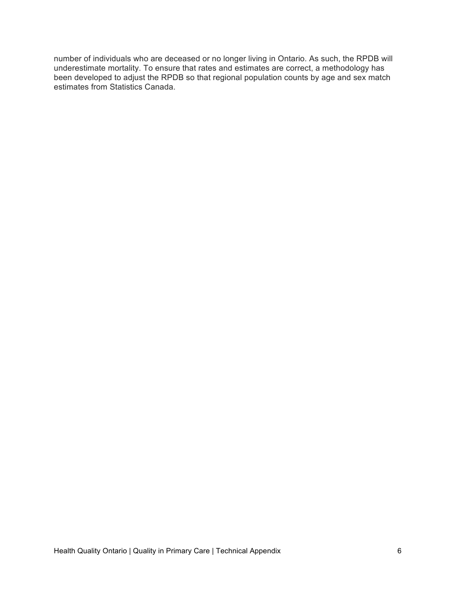number of individuals who are deceased or no longer living in Ontario. As such, the RPDB will underestimate mortality. To ensure that rates and estimates are correct, a methodology has been developed to adjust the RPDB so that regional population counts by age and sex match estimates from Statistics Canada.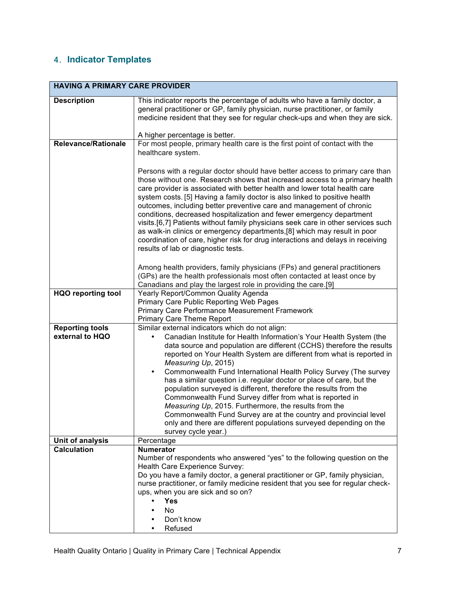# 4. **Indicator Templates**

| <b>HAVING A PRIMARY CARE PROVIDER</b>     |                                                                                                                                                                                                                                                                                                                                                                                                                                                                                                                                                                                                                                                                                                                                                                                                                         |  |
|-------------------------------------------|-------------------------------------------------------------------------------------------------------------------------------------------------------------------------------------------------------------------------------------------------------------------------------------------------------------------------------------------------------------------------------------------------------------------------------------------------------------------------------------------------------------------------------------------------------------------------------------------------------------------------------------------------------------------------------------------------------------------------------------------------------------------------------------------------------------------------|--|
| <b>Description</b>                        | This indicator reports the percentage of adults who have a family doctor, a<br>general practitioner or GP, family physician, nurse practitioner, or family<br>medicine resident that they see for regular check-ups and when they are sick.                                                                                                                                                                                                                                                                                                                                                                                                                                                                                                                                                                             |  |
|                                           | A higher percentage is better.                                                                                                                                                                                                                                                                                                                                                                                                                                                                                                                                                                                                                                                                                                                                                                                          |  |
| <b>Relevance/Rationale</b>                | For most people, primary health care is the first point of contact with the<br>healthcare system.                                                                                                                                                                                                                                                                                                                                                                                                                                                                                                                                                                                                                                                                                                                       |  |
|                                           | Persons with a regular doctor should have better access to primary care than<br>those without one. Research shows that increased access to a primary health<br>care provider is associated with better health and lower total health care<br>system costs. [5] Having a family doctor is also linked to positive health<br>outcomes, including better preventive care and management of chronic<br>conditions, decreased hospitalization and fewer emergency department<br>visits.[6,7] Patients without family physicians seek care in other services such<br>as walk-in clinics or emergency departments, [8] which may result in poor<br>coordination of care, higher risk for drug interactions and delays in receiving<br>results of lab or diagnostic tests.                                                      |  |
|                                           | Among health providers, family physicians (FPs) and general practitioners<br>(GPs) are the health professionals most often contacted at least once by<br>Canadians and play the largest role in providing the care.[9]                                                                                                                                                                                                                                                                                                                                                                                                                                                                                                                                                                                                  |  |
| <b>HQO reporting tool</b>                 | Yearly Report/Common Quality Agenda<br>Primary Care Public Reporting Web Pages<br>Primary Care Performance Measurement Framework<br><b>Primary Care Theme Report</b>                                                                                                                                                                                                                                                                                                                                                                                                                                                                                                                                                                                                                                                    |  |
| <b>Reporting tools</b><br>external to HQO | Similar external indicators which do not align:<br>Canadian Institute for Health Information's Your Health System (the<br>$\bullet$<br>data source and population are different (CCHS) therefore the results<br>reported on Your Health System are different from what is reported in<br>Measuring Up, 2015)<br>Commonwealth Fund International Health Policy Survey (The survey<br>٠<br>has a similar question i.e. regular doctor or place of care, but the<br>population surveyed is different, therefore the results from the<br>Commonwealth Fund Survey differ from what is reported in<br>Measuring Up, 2015. Furthermore, the results from the<br>Commonwealth Fund Survey are at the country and provincial level<br>only and there are different populations surveyed depending on the<br>survey cycle year.) |  |
| Unit of analysis                          | Percentage                                                                                                                                                                                                                                                                                                                                                                                                                                                                                                                                                                                                                                                                                                                                                                                                              |  |
| <b>Calculation</b>                        | <b>Numerator</b><br>Number of respondents who answered "yes" to the following question on the<br>Health Care Experience Survey:<br>Do you have a family doctor, a general practitioner or GP, family physician,<br>nurse practitioner, or family medicine resident that you see for regular check-<br>ups, when you are sick and so on?<br><b>Yes</b><br>No<br>Don't know                                                                                                                                                                                                                                                                                                                                                                                                                                               |  |
|                                           | Refused                                                                                                                                                                                                                                                                                                                                                                                                                                                                                                                                                                                                                                                                                                                                                                                                                 |  |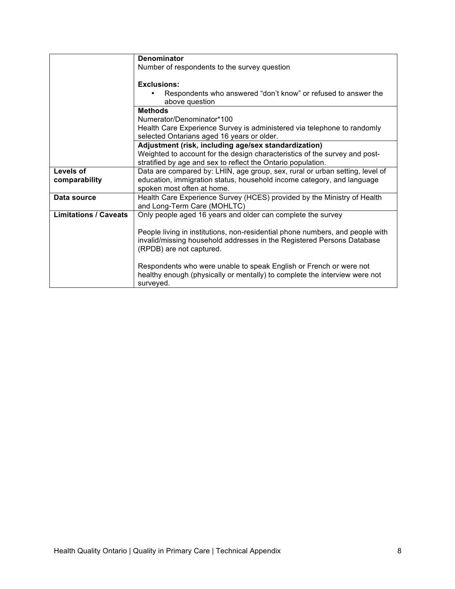|                              | Denominator                                                                                                                                                                         |
|------------------------------|-------------------------------------------------------------------------------------------------------------------------------------------------------------------------------------|
|                              | Number of respondents to the survey question                                                                                                                                        |
|                              |                                                                                                                                                                                     |
|                              | <b>Exclusions:</b>                                                                                                                                                                  |
|                              | Respondents who answered "don't know" or refused to answer the<br>above question                                                                                                    |
|                              | <b>Methods</b>                                                                                                                                                                      |
|                              | Numerator/Denominator*100                                                                                                                                                           |
|                              | Health Care Experience Survey is administered via telephone to randomly                                                                                                             |
|                              | selected Ontarians aged 16 years or older.                                                                                                                                          |
|                              | Adjustment (risk, including age/sex standardization)                                                                                                                                |
|                              | Weighted to account for the design characteristics of the survey and post-                                                                                                          |
|                              | stratified by age and sex to reflect the Ontario population.                                                                                                                        |
| Levels of                    | Data are compared by: LHIN, age group, sex, rural or urban setting, level of                                                                                                        |
| comparability                | education, immigration status, household income category, and language                                                                                                              |
|                              | spoken most often at home.                                                                                                                                                          |
| Data source                  | Health Care Experience Survey (HCES) provided by the Ministry of Health<br>and Long-Term Care (MOHLTC)                                                                              |
| <b>Limitations / Caveats</b> | Only people aged 16 years and older can complete the survey                                                                                                                         |
|                              |                                                                                                                                                                                     |
|                              | People living in institutions, non-residential phone numbers, and people with<br>invalid/missing household addresses in the Registered Persons Database<br>(RPDB) are not captured. |
|                              | Respondents who were unable to speak English or French or were not<br>healthy enough (physically or mentally) to complete the interview were not<br>surveyed.                       |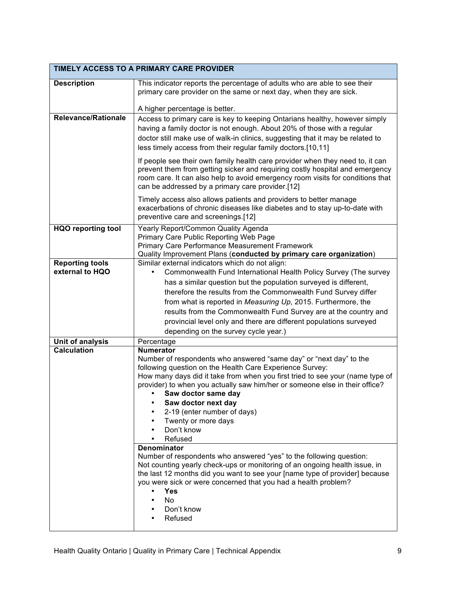| TIMELY ACCESS TO A PRIMARY CARE PROVIDER |                                                                                                                                                  |  |
|------------------------------------------|--------------------------------------------------------------------------------------------------------------------------------------------------|--|
| <b>Description</b>                       | This indicator reports the percentage of adults who are able to see their                                                                        |  |
|                                          | primary care provider on the same or next day, when they are sick.                                                                               |  |
|                                          |                                                                                                                                                  |  |
|                                          | A higher percentage is better.                                                                                                                   |  |
| <b>Relevance/Rationale</b>               | Access to primary care is key to keeping Ontarians healthy, however simply                                                                       |  |
|                                          | having a family doctor is not enough. About 20% of those with a regular                                                                          |  |
|                                          | doctor still make use of walk-in clinics, suggesting that it may be related to                                                                   |  |
|                                          | less timely access from their regular family doctors.[10,11]                                                                                     |  |
|                                          | If people see their own family health care provider when they need to, it can                                                                    |  |
|                                          | prevent them from getting sicker and requiring costly hospital and emergency                                                                     |  |
|                                          | room care. It can also help to avoid emergency room visits for conditions that<br>can be addressed by a primary care provider.[12]               |  |
|                                          |                                                                                                                                                  |  |
|                                          | Timely access also allows patients and providers to better manage<br>exacerbations of chronic diseases like diabetes and to stay up-to-date with |  |
|                                          | preventive care and screenings.[12]                                                                                                              |  |
| <b>HQO reporting tool</b>                | Yearly Report/Common Quality Agenda                                                                                                              |  |
|                                          | Primary Care Public Reporting Web Page                                                                                                           |  |
|                                          | Primary Care Performance Measurement Framework                                                                                                   |  |
|                                          | Quality Improvement Plans (conducted by primary care organization)                                                                               |  |
| <b>Reporting tools</b>                   | Similar external indicators which do not align:                                                                                                  |  |
| external to HQO                          | Commonwealth Fund International Health Policy Survey (The survey                                                                                 |  |
|                                          | has a similar question but the population surveyed is different,                                                                                 |  |
|                                          | therefore the results from the Commonwealth Fund Survey differ                                                                                   |  |
|                                          | from what is reported in Measuring Up, 2015. Furthermore, the                                                                                    |  |
|                                          | results from the Commonwealth Fund Survey are at the country and                                                                                 |  |
|                                          | provincial level only and there are different populations surveyed                                                                               |  |
|                                          | depending on the survey cycle year.)                                                                                                             |  |
| Unit of analysis<br><b>Calculation</b>   | Percentage<br><b>Numerator</b>                                                                                                                   |  |
|                                          | Number of respondents who answered "same day" or "next day" to the                                                                               |  |
|                                          | following question on the Health Care Experience Survey:                                                                                         |  |
|                                          | How many days did it take from when you first tried to see your (name type of                                                                    |  |
|                                          | provider) to when you actually saw him/her or someone else in their office?                                                                      |  |
|                                          | Saw doctor same day                                                                                                                              |  |
|                                          | Saw doctor next day                                                                                                                              |  |
|                                          | 2-19 (enter number of days)<br>Twenty or more days                                                                                               |  |
|                                          | Don't know                                                                                                                                       |  |
|                                          | Refused                                                                                                                                          |  |
|                                          | <b>Denominator</b>                                                                                                                               |  |
|                                          | Number of respondents who answered "yes" to the following question:                                                                              |  |
|                                          | Not counting yearly check-ups or monitoring of an ongoing health issue, in                                                                       |  |
|                                          | the last 12 months did you want to see your [name type of provider] because<br>you were sick or were concerned that you had a health problem?    |  |
|                                          | <b>Yes</b><br>٠                                                                                                                                  |  |
|                                          | No                                                                                                                                               |  |
|                                          | Don't know                                                                                                                                       |  |
|                                          | Refused                                                                                                                                          |  |
|                                          |                                                                                                                                                  |  |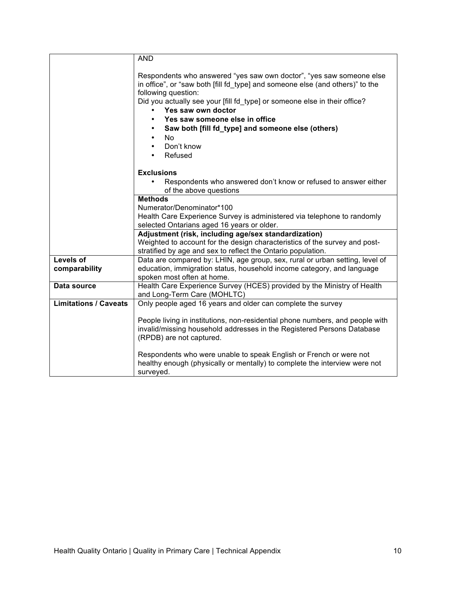|                                   | <b>AND</b>                                                                                                                                                                                                                                                                                                                                                                                                                                               |
|-----------------------------------|----------------------------------------------------------------------------------------------------------------------------------------------------------------------------------------------------------------------------------------------------------------------------------------------------------------------------------------------------------------------------------------------------------------------------------------------------------|
|                                   | Respondents who answered "yes saw own doctor", "yes saw someone else<br>in office", or "saw both [fill fd type] and someone else (and others)" to the<br>following question:<br>Did you actually see your [fill fd_type] or someone else in their office?<br>Yes saw own doctor<br>Yes saw someone else in office<br>Saw both [fill fd_type] and someone else (others)<br>N <sub>o</sub><br>$\bullet$<br>Don't know<br>$\bullet$<br>Refused<br>$\bullet$ |
|                                   | <b>Exclusions</b>                                                                                                                                                                                                                                                                                                                                                                                                                                        |
|                                   | Respondents who answered don't know or refused to answer either<br>of the above questions                                                                                                                                                                                                                                                                                                                                                                |
|                                   | <b>Methods</b>                                                                                                                                                                                                                                                                                                                                                                                                                                           |
|                                   | Numerator/Denominator*100                                                                                                                                                                                                                                                                                                                                                                                                                                |
|                                   | Health Care Experience Survey is administered via telephone to randomly<br>selected Ontarians aged 16 years or older.                                                                                                                                                                                                                                                                                                                                    |
|                                   | Adjustment (risk, including age/sex standardization)<br>Weighted to account for the design characteristics of the survey and post-<br>stratified by age and sex to reflect the Ontario population.                                                                                                                                                                                                                                                       |
| <b>Levels of</b><br>comparability | Data are compared by: LHIN, age group, sex, rural or urban setting, level of<br>education, immigration status, household income category, and language<br>spoken most often at home.                                                                                                                                                                                                                                                                     |
| Data source                       | Health Care Experience Survey (HCES) provided by the Ministry of Health<br>and Long-Term Care (MOHLTC)                                                                                                                                                                                                                                                                                                                                                   |
| <b>Limitations / Caveats</b>      | Only people aged 16 years and older can complete the survey                                                                                                                                                                                                                                                                                                                                                                                              |
|                                   | People living in institutions, non-residential phone numbers, and people with<br>invalid/missing household addresses in the Registered Persons Database<br>(RPDB) are not captured.                                                                                                                                                                                                                                                                      |
|                                   | Respondents who were unable to speak English or French or were not<br>healthy enough (physically or mentally) to complete the interview were not<br>surveyed.                                                                                                                                                                                                                                                                                            |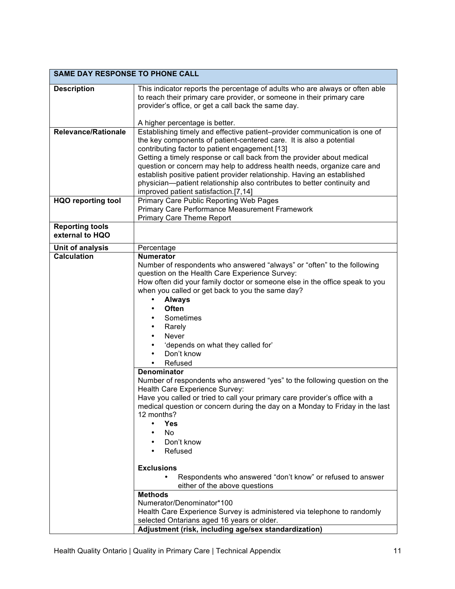| <b>SAME DAY RESPONSE TO PHONE CALL</b> |                                                                                                                                                   |  |
|----------------------------------------|---------------------------------------------------------------------------------------------------------------------------------------------------|--|
| <b>Description</b>                     | This indicator reports the percentage of adults who are always or often able                                                                      |  |
|                                        | to reach their primary care provider, or someone in their primary care                                                                            |  |
|                                        | provider's office, or get a call back the same day.                                                                                               |  |
|                                        | A higher percentage is better.                                                                                                                    |  |
| <b>Relevance/Rationale</b>             | Establishing timely and effective patient-provider communication is one of                                                                        |  |
|                                        | the key components of patient-centered care. It is also a potential                                                                               |  |
|                                        | contributing factor to patient engagement.[13]                                                                                                    |  |
|                                        | Getting a timely response or call back from the provider about medical<br>question or concern may help to address health needs, organize care and |  |
|                                        | establish positive patient provider relationship. Having an established                                                                           |  |
|                                        | physician-patient relationship also contributes to better continuity and                                                                          |  |
|                                        | improved patient satisfaction.[7,14]                                                                                                              |  |
| <b>HQO reporting tool</b>              | Primary Care Public Reporting Web Pages                                                                                                           |  |
|                                        | Primary Care Performance Measurement Framework                                                                                                    |  |
| <b>Reporting tools</b>                 | <b>Primary Care Theme Report</b>                                                                                                                  |  |
| external to HQO                        |                                                                                                                                                   |  |
| Unit of analysis                       | Percentage                                                                                                                                        |  |
| <b>Calculation</b>                     | <b>Numerator</b>                                                                                                                                  |  |
|                                        | Number of respondents who answered "always" or "often" to the following                                                                           |  |
|                                        | question on the Health Care Experience Survey:                                                                                                    |  |
|                                        | How often did your family doctor or someone else in the office speak to you                                                                       |  |
|                                        | when you called or get back to you the same day?<br><b>Always</b><br>٠                                                                            |  |
|                                        | <b>Often</b><br>٠                                                                                                                                 |  |
|                                        | Sometimes                                                                                                                                         |  |
|                                        | Rarely<br>$\bullet$                                                                                                                               |  |
|                                        | <b>Never</b><br>$\bullet$                                                                                                                         |  |
|                                        | 'depends on what they called for'<br>$\bullet$                                                                                                    |  |
|                                        | Don't know<br>٠                                                                                                                                   |  |
|                                        | Refused<br>$\bullet$                                                                                                                              |  |
|                                        | Denominator<br>Number of respondents who answered "yes" to the following question on the                                                          |  |
|                                        | Health Care Experience Survey:                                                                                                                    |  |
|                                        | Have you called or tried to call your primary care provider's office with a                                                                       |  |
|                                        | medical question or concern during the day on a Monday to Friday in the last                                                                      |  |
|                                        | 12 months?                                                                                                                                        |  |
|                                        | <b>Yes</b><br>٠<br>No                                                                                                                             |  |
|                                        | Don't know<br>$\bullet$                                                                                                                           |  |
|                                        | Refused<br>$\bullet$                                                                                                                              |  |
|                                        |                                                                                                                                                   |  |
|                                        | <b>Exclusions</b>                                                                                                                                 |  |
|                                        | Respondents who answered "don't know" or refused to answer                                                                                        |  |
|                                        | either of the above questions<br><b>Methods</b>                                                                                                   |  |
|                                        | Numerator/Denominator*100                                                                                                                         |  |
|                                        | Health Care Experience Survey is administered via telephone to randomly                                                                           |  |
|                                        | selected Ontarians aged 16 years or older.                                                                                                        |  |
|                                        | Adjustment (risk, including age/sex standardization)                                                                                              |  |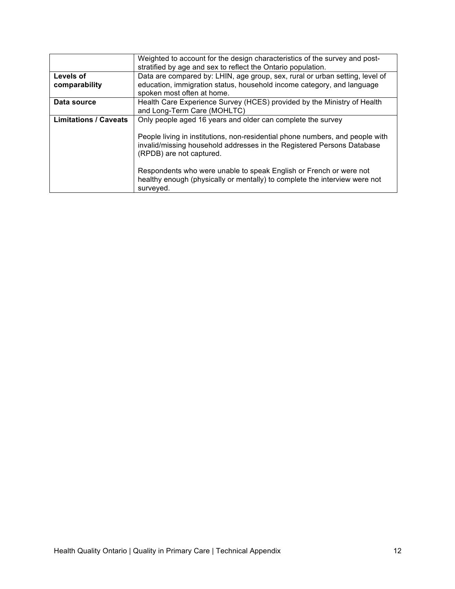| Weighted to account for the design characteristics of the survey and post-    |
|-------------------------------------------------------------------------------|
| stratified by age and sex to reflect the Ontario population.                  |
| Data are compared by: LHIN, age group, sex, rural or urban setting, level of  |
| education, immigration status, household income category, and language        |
| spoken most often at home.                                                    |
| Health Care Experience Survey (HCES) provided by the Ministry of Health       |
| and Long-Term Care (MOHLTC)                                                   |
| Only people aged 16 years and older can complete the survey                   |
|                                                                               |
| People living in institutions, non-residential phone numbers, and people with |
| invalid/missing household addresses in the Registered Persons Database        |
| (RPDB) are not captured.                                                      |
|                                                                               |
| Respondents who were unable to speak English or French or were not            |
| healthy enough (physically or mentally) to complete the interview were not    |
| surveyed.                                                                     |
|                                                                               |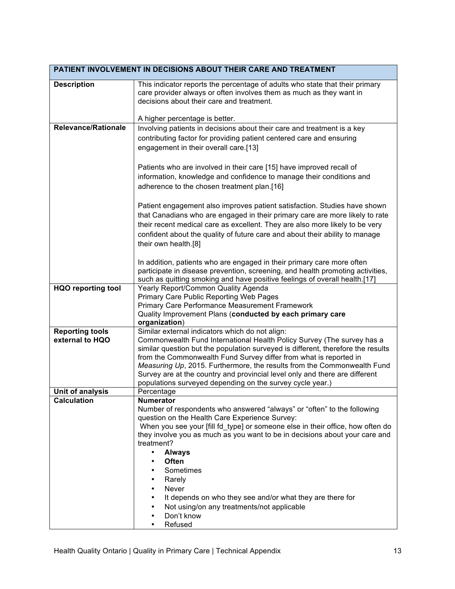| PATIENT INVOLVEMENT IN DECISIONS ABOUT THEIR CARE AND TREATMENT |                                                                                                                                                              |  |
|-----------------------------------------------------------------|--------------------------------------------------------------------------------------------------------------------------------------------------------------|--|
| <b>Description</b>                                              | This indicator reports the percentage of adults who state that their primary                                                                                 |  |
|                                                                 | care provider always or often involves them as much as they want in                                                                                          |  |
|                                                                 | decisions about their care and treatment.                                                                                                                    |  |
|                                                                 | A higher percentage is better.                                                                                                                               |  |
| <b>Relevance/Rationale</b>                                      | Involving patients in decisions about their care and treatment is a key                                                                                      |  |
|                                                                 | contributing factor for providing patient centered care and ensuring                                                                                         |  |
|                                                                 | engagement in their overall care.[13]                                                                                                                        |  |
|                                                                 |                                                                                                                                                              |  |
|                                                                 | Patients who are involved in their care [15] have improved recall of                                                                                         |  |
|                                                                 | information, knowledge and confidence to manage their conditions and                                                                                         |  |
|                                                                 | adherence to the chosen treatment plan.[16]                                                                                                                  |  |
|                                                                 |                                                                                                                                                              |  |
|                                                                 | Patient engagement also improves patient satisfaction. Studies have shown                                                                                    |  |
|                                                                 | that Canadians who are engaged in their primary care are more likely to rate<br>their recent medical care as excellent. They are also more likely to be very |  |
|                                                                 | confident about the quality of future care and about their ability to manage                                                                                 |  |
|                                                                 | their own health.[8]                                                                                                                                         |  |
|                                                                 |                                                                                                                                                              |  |
|                                                                 | In addition, patients who are engaged in their primary care more often                                                                                       |  |
|                                                                 | participate in disease prevention, screening, and health promoting activities,                                                                               |  |
|                                                                 | such as quitting smoking and have positive feelings of overall health.[17]                                                                                   |  |
| <b>HQO reporting tool</b>                                       | Yearly Report/Common Quality Agenda<br>Primary Care Public Reporting Web Pages                                                                               |  |
|                                                                 | Primary Care Performance Measurement Framework                                                                                                               |  |
|                                                                 | Quality Improvement Plans (conducted by each primary care                                                                                                    |  |
|                                                                 | organization)                                                                                                                                                |  |
| <b>Reporting tools</b>                                          | Similar external indicators which do not align:                                                                                                              |  |
| external to HQO                                                 | Commonwealth Fund International Health Policy Survey (The survey has a<br>similar question but the population surveyed is different, therefore the results   |  |
|                                                                 | from the Commonwealth Fund Survey differ from what is reported in                                                                                            |  |
|                                                                 | Measuring Up, 2015. Furthermore, the results from the Commonwealth Fund                                                                                      |  |
|                                                                 | Survey are at the country and provincial level only and there are different                                                                                  |  |
|                                                                 | populations surveyed depending on the survey cycle year.)                                                                                                    |  |
| Unit of analysis                                                | Percentage                                                                                                                                                   |  |
| Calculation                                                     | <b>Numerator</b><br>Number of respondents who answered "always" or "often" to the following                                                                  |  |
|                                                                 | question on the Health Care Experience Survey:                                                                                                               |  |
|                                                                 | When you see your [fill fd_type] or someone else in their office, how often do                                                                               |  |
|                                                                 | they involve you as much as you want to be in decisions about your care and                                                                                  |  |
|                                                                 | treatment?                                                                                                                                                   |  |
|                                                                 | $\bullet$<br><b>Always</b><br><b>Often</b><br>$\bullet$                                                                                                      |  |
|                                                                 | Sometimes                                                                                                                                                    |  |
|                                                                 | Rarely<br>٠                                                                                                                                                  |  |
|                                                                 | Never<br>٠                                                                                                                                                   |  |
|                                                                 | It depends on who they see and/or what they are there for<br>٠                                                                                               |  |
|                                                                 | Not using/on any treatments/not applicable<br>٠                                                                                                              |  |
|                                                                 | Don't know<br>٠                                                                                                                                              |  |
|                                                                 | Refused<br>٠                                                                                                                                                 |  |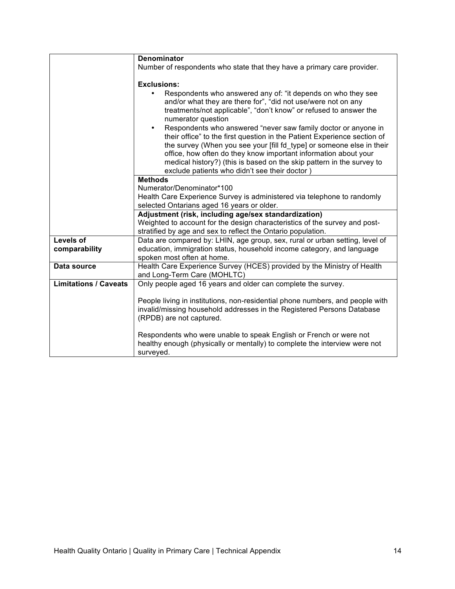|                              | <b>Denominator</b>                                                                                                                                                                                                                                                                          |
|------------------------------|---------------------------------------------------------------------------------------------------------------------------------------------------------------------------------------------------------------------------------------------------------------------------------------------|
|                              | Number of respondents who state that they have a primary care provider.                                                                                                                                                                                                                     |
|                              |                                                                                                                                                                                                                                                                                             |
|                              | <b>Exclusions:</b>                                                                                                                                                                                                                                                                          |
|                              | Respondents who answered any of: "it depends on who they see<br>and/or what they are there for", "did not use/were not on any<br>treatments/not applicable", "don't know" or refused to answer the<br>numerator question                                                                    |
|                              | Respondents who answered "never saw family doctor or anyone in<br>٠<br>their office" to the first question in the Patient Experience section of<br>the survey (When you see your [fill fd_type] or someone else in their<br>office, how often do they know important information about your |
|                              | medical history?) (this is based on the skip pattern in the survey to<br>exclude patients who didn't see their doctor)                                                                                                                                                                      |
|                              | <b>Methods</b>                                                                                                                                                                                                                                                                              |
|                              | Numerator/Denominator*100                                                                                                                                                                                                                                                                   |
|                              | Health Care Experience Survey is administered via telephone to randomly                                                                                                                                                                                                                     |
|                              | selected Ontarians aged 16 years or older.                                                                                                                                                                                                                                                  |
|                              | Adjustment (risk, including age/sex standardization)                                                                                                                                                                                                                                        |
|                              | Weighted to account for the design characteristics of the survey and post-                                                                                                                                                                                                                  |
|                              | stratified by age and sex to reflect the Ontario population.                                                                                                                                                                                                                                |
| <b>Levels of</b>             | Data are compared by: LHIN, age group, sex, rural or urban setting, level of                                                                                                                                                                                                                |
| comparability                | education, immigration status, household income category, and language<br>spoken most often at home.                                                                                                                                                                                        |
| Data source                  | Health Care Experience Survey (HCES) provided by the Ministry of Health<br>and Long-Term Care (MOHLTC)                                                                                                                                                                                      |
| <b>Limitations / Caveats</b> | Only people aged 16 years and older can complete the survey.                                                                                                                                                                                                                                |
|                              | People living in institutions, non-residential phone numbers, and people with<br>invalid/missing household addresses in the Registered Persons Database<br>(RPDB) are not captured.                                                                                                         |
|                              | Respondents who were unable to speak English or French or were not<br>healthy enough (physically or mentally) to complete the interview were not<br>surveyed.                                                                                                                               |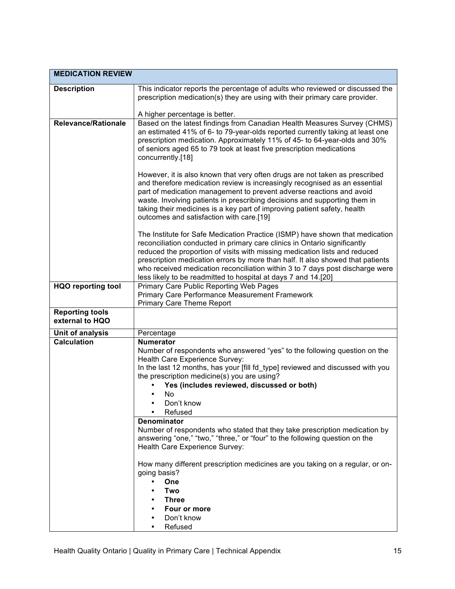| <b>MEDICATION REVIEW</b>                  |                                                                                                                                                                                                                                                                                                                                                                                                                                                                              |
|-------------------------------------------|------------------------------------------------------------------------------------------------------------------------------------------------------------------------------------------------------------------------------------------------------------------------------------------------------------------------------------------------------------------------------------------------------------------------------------------------------------------------------|
| <b>Description</b>                        | This indicator reports the percentage of adults who reviewed or discussed the<br>prescription medication(s) they are using with their primary care provider.                                                                                                                                                                                                                                                                                                                 |
|                                           | A higher percentage is better.                                                                                                                                                                                                                                                                                                                                                                                                                                               |
| <b>Relevance/Rationale</b>                | Based on the latest findings from Canadian Health Measures Survey (CHMS)<br>an estimated 41% of 6- to 79-year-olds reported currently taking at least one<br>prescription medication. Approximately 11% of 45- to 64-year-olds and 30%<br>of seniors aged 65 to 79 took at least five prescription medications<br>concurrently.[18]                                                                                                                                          |
|                                           | However, it is also known that very often drugs are not taken as prescribed<br>and therefore medication review is increasingly recognised as an essential<br>part of medication management to prevent adverse reactions and avoid<br>waste. Involving patients in prescribing decisions and supporting them in<br>taking their medicines is a key part of improving patient safety, health<br>outcomes and satisfaction with care.[19]                                       |
|                                           | The Institute for Safe Medication Practice (ISMP) have shown that medication<br>reconciliation conducted in primary care clinics in Ontario significantly<br>reduced the proportion of visits with missing medication lists and reduced<br>prescription medication errors by more than half. It also showed that patients<br>who received medication reconciliation within 3 to 7 days post discharge were<br>less likely to be readmitted to hospital at days 7 and 14.[20] |
| <b>HQO reporting tool</b>                 | Primary Care Public Reporting Web Pages<br><b>Primary Care Performance Measurement Framework</b><br><b>Primary Care Theme Report</b>                                                                                                                                                                                                                                                                                                                                         |
| <b>Reporting tools</b><br>external to HQO |                                                                                                                                                                                                                                                                                                                                                                                                                                                                              |
| Unit of analysis                          | Percentage                                                                                                                                                                                                                                                                                                                                                                                                                                                                   |
| <b>Calculation</b>                        | <b>Numerator</b><br>Number of respondents who answered "yes" to the following question on the<br>Health Care Experience Survey:<br>In the last 12 months, has your [fill fd_type] reviewed and discussed with you<br>the prescription medicine(s) you are using?<br>Yes (includes reviewed, discussed or both)<br>No.<br>Don't know<br>Refused<br><b>Denominator</b>                                                                                                         |
|                                           | Number of respondents who stated that they take prescription medication by<br>answering "one," "two," "three," or "four" to the following question on the<br>Health Care Experience Survey:                                                                                                                                                                                                                                                                                  |
|                                           | How many different prescription medicines are you taking on a regular, or on-<br>going basis?<br>One<br>٠<br>Two<br><b>Three</b>                                                                                                                                                                                                                                                                                                                                             |
|                                           | Four or more                                                                                                                                                                                                                                                                                                                                                                                                                                                                 |
|                                           | Don't know                                                                                                                                                                                                                                                                                                                                                                                                                                                                   |
|                                           | Refused                                                                                                                                                                                                                                                                                                                                                                                                                                                                      |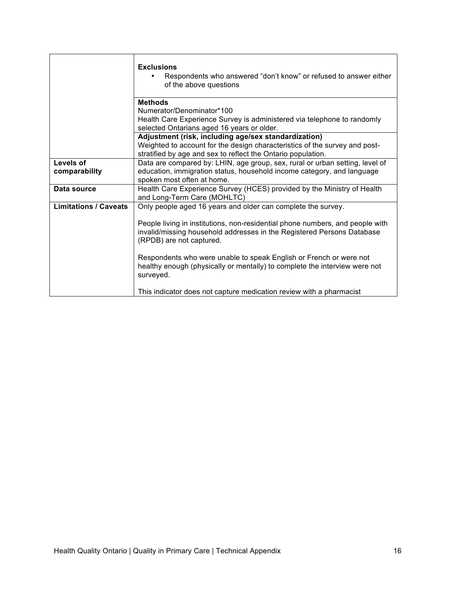|                              | <b>Exclusions</b><br>Respondents who answered "don't know" or refused to answer either<br>of the above questions                                                                                                                                                                                                                                                                                                     |
|------------------------------|----------------------------------------------------------------------------------------------------------------------------------------------------------------------------------------------------------------------------------------------------------------------------------------------------------------------------------------------------------------------------------------------------------------------|
|                              | <b>Methods</b><br>Numerator/Denominator*100<br>Health Care Experience Survey is administered via telephone to randomly<br>selected Ontarians aged 16 years or older.                                                                                                                                                                                                                                                 |
|                              | Adjustment (risk, including age/sex standardization)<br>Weighted to account for the design characteristics of the survey and post-<br>stratified by age and sex to reflect the Ontario population.                                                                                                                                                                                                                   |
| Levels of<br>comparability   | Data are compared by: LHIN, age group, sex, rural or urban setting, level of<br>education, immigration status, household income category, and language<br>spoken most often at home.                                                                                                                                                                                                                                 |
| Data source                  | Health Care Experience Survey (HCES) provided by the Ministry of Health<br>and Long-Term Care (MOHLTC)                                                                                                                                                                                                                                                                                                               |
| <b>Limitations / Caveats</b> | Only people aged 16 years and older can complete the survey.<br>People living in institutions, non-residential phone numbers, and people with<br>invalid/missing household addresses in the Registered Persons Database<br>(RPDB) are not captured.<br>Respondents who were unable to speak English or French or were not<br>healthy enough (physically or mentally) to complete the interview were not<br>surveyed. |
|                              | This indicator does not capture medication review with a pharmacist                                                                                                                                                                                                                                                                                                                                                  |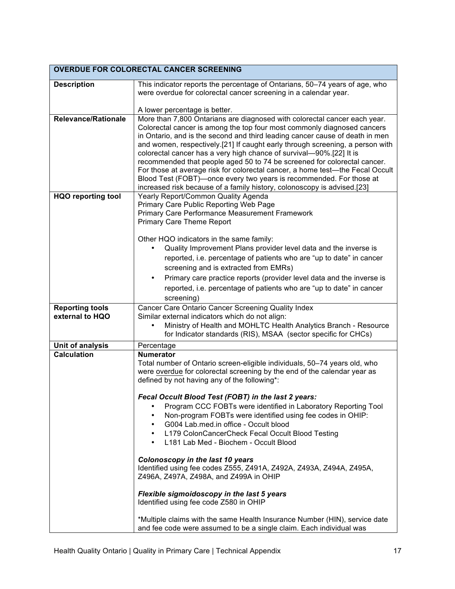| <b>OVERDUE FOR COLORECTAL CANCER SCREENING</b> |                                                                                                                                                         |  |
|------------------------------------------------|---------------------------------------------------------------------------------------------------------------------------------------------------------|--|
| <b>Description</b>                             | This indicator reports the percentage of Ontarians, 50-74 years of age, who                                                                             |  |
|                                                | were overdue for colorectal cancer screening in a calendar year.                                                                                        |  |
|                                                |                                                                                                                                                         |  |
|                                                | A lower percentage is better.                                                                                                                           |  |
| <b>Relevance/Rationale</b>                     | More than 7,800 Ontarians are diagnosed with colorectal cancer each year.                                                                               |  |
|                                                | Colorectal cancer is among the top four most commonly diagnosed cancers<br>in Ontario, and is the second and third leading cancer cause of death in men |  |
|                                                | and women, respectively.[21] If caught early through screening, a person with                                                                           |  |
|                                                | colorectal cancer has a very high chance of survival-90%.[22] It is                                                                                     |  |
|                                                | recommended that people aged 50 to 74 be screened for colorectal cancer.                                                                                |  |
|                                                | For those at average risk for colorectal cancer, a home test-the Fecal Occult                                                                           |  |
|                                                | Blood Test (FOBT)—once every two years is recommended. For those at                                                                                     |  |
| <b>HQO</b> reporting tool                      | increased risk because of a family history, colonoscopy is advised.[23]<br>Yearly Report/Common Quality Agenda                                          |  |
|                                                | Primary Care Public Reporting Web Page                                                                                                                  |  |
|                                                | <b>Primary Care Performance Measurement Framework</b>                                                                                                   |  |
|                                                | <b>Primary Care Theme Report</b>                                                                                                                        |  |
|                                                | Other HQO indicators in the same family:                                                                                                                |  |
|                                                | Quality Improvement Plans provider level data and the inverse is                                                                                        |  |
|                                                | reported, i.e. percentage of patients who are "up to date" in cancer                                                                                    |  |
|                                                | screening and is extracted from EMRs)                                                                                                                   |  |
|                                                | Primary care practice reports (provider level data and the inverse is<br>$\bullet$                                                                      |  |
|                                                | reported, i.e. percentage of patients who are "up to date" in cancer                                                                                    |  |
|                                                | screening)                                                                                                                                              |  |
| <b>Reporting tools</b>                         | Cancer Care Ontario Cancer Screening Quality Index                                                                                                      |  |
| external to HQO                                | Similar external indicators which do not align:                                                                                                         |  |
|                                                | Ministry of Health and MOHLTC Health Analytics Branch - Resource<br>for Indicator standards (RIS), MSAA (sector specific for CHCs)                      |  |
| Unit of analysis                               | Percentage                                                                                                                                              |  |
| <b>Calculation</b>                             | <b>Numerator</b>                                                                                                                                        |  |
|                                                | Total number of Ontario screen-eligible individuals, 50-74 years old, who                                                                               |  |
|                                                | were overdue for colorectal screening by the end of the calendar year as<br>defined by not having any of the following*:                                |  |
|                                                |                                                                                                                                                         |  |
|                                                | Fecal Occult Blood Test (FOBT) in the last 2 years:                                                                                                     |  |
|                                                | Program CCC FOBTs were identified in Laboratory Reporting Tool<br>٠                                                                                     |  |
|                                                | Non-program FOBTs were identified using fee codes in OHIP:<br>٠                                                                                         |  |
|                                                | G004 Lab.med.in office - Occult blood<br>$\bullet$                                                                                                      |  |
|                                                | L179 ColonCancerCheck Fecal Occult Blood Testing<br>٠<br>L181 Lab Med - Biochem - Occult Blood<br>$\bullet$                                             |  |
|                                                |                                                                                                                                                         |  |
|                                                | Colonoscopy in the last 10 years                                                                                                                        |  |
|                                                | Identified using fee codes Z555, Z491A, Z492A, Z493A, Z494A, Z495A,                                                                                     |  |
|                                                | Z496A, Z497A, Z498A, and Z499A in OHIP                                                                                                                  |  |
|                                                | Flexible sigmoidoscopy in the last 5 years                                                                                                              |  |
|                                                | Identified using fee code Z580 in OHIP                                                                                                                  |  |
|                                                |                                                                                                                                                         |  |
|                                                | *Multiple claims with the same Health Insurance Number (HIN), service date<br>and fee code were assumed to be a single claim. Each individual was       |  |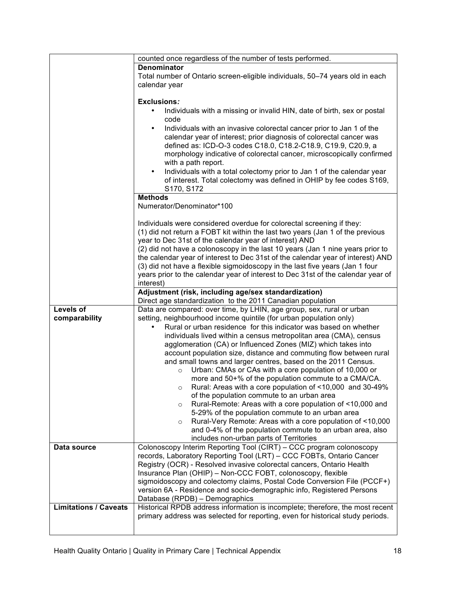|                              | counted once regardless of the number of tests performed.                           |
|------------------------------|-------------------------------------------------------------------------------------|
|                              | <b>Denominator</b>                                                                  |
|                              |                                                                                     |
|                              | Total number of Ontario screen-eligible individuals, 50-74 years old in each        |
|                              | calendar year                                                                       |
|                              |                                                                                     |
|                              | <b>Exclusions:</b>                                                                  |
|                              | Individuals with a missing or invalid HIN, date of birth, sex or postal             |
|                              | code                                                                                |
|                              | Individuals with an invasive colorectal cancer prior to Jan 1 of the<br>$\bullet$   |
|                              | calendar year of interest; prior diagnosis of colorectal cancer was                 |
|                              | defined as: ICD-O-3 codes C18.0, C18.2-C18.9, C19.9, C20.9, a                       |
|                              | morphology indicative of colorectal cancer, microscopically confirmed               |
|                              | with a path report.                                                                 |
|                              | Individuals with a total colectomy prior to Jan 1 of the calendar year<br>$\bullet$ |
|                              | of interest. Total colectomy was defined in OHIP by fee codes S169,                 |
|                              | S170, S172                                                                          |
|                              | <b>Methods</b>                                                                      |
|                              | Numerator/Denominator*100                                                           |
|                              |                                                                                     |
|                              |                                                                                     |
|                              | Individuals were considered overdue for colorectal screening if they:               |
|                              | (1) did not return a FOBT kit within the last two years (Jan 1 of the previous      |
|                              | year to Dec 31st of the calendar year of interest) AND                              |
|                              | (2) did not have a colonoscopy in the last 10 years (Jan 1 nine years prior to      |
|                              | the calendar year of interest to Dec 31st of the calendar year of interest) AND     |
|                              | (3) did not have a flexible sigmoidoscopy in the last five years (Jan 1 four        |
|                              | years prior to the calendar year of interest to Dec 31st of the calendar year of    |
|                              | interest)                                                                           |
|                              | Adjustment (risk, including age/sex standardization)                                |
|                              | Direct age standardization to the 2011 Canadian population                          |
| Levels of                    | Data are compared: over time, by LHIN, age group, sex, rural or urban               |
| comparability                | setting, neighbourhood income quintile (for urban population only)                  |
|                              | Rural or urban residence for this indicator was based on whether                    |
|                              | individuals lived within a census metropolitan area (CMA), census                   |
|                              | agglomeration (CA) or Influenced Zones (MIZ) which takes into                       |
|                              | account population size, distance and commuting flow between rural                  |
|                              | and small towns and larger centres, based on the 2011 Census.                       |
|                              | Urban: CMAs or CAs with a core population of 10,000 or<br>$\Omega$                  |
|                              | more and 50+% of the population commute to a CMA/CA.                                |
|                              |                                                                                     |
|                              | Rural: Areas with a core population of <10,000 and 30-49%                           |
|                              | of the population commute to an urban area                                          |
|                              | Rural-Remote: Areas with a core population of <10,000 and<br>$\circ$                |
|                              | 5-29% of the population commute to an urban area                                    |
|                              | Rural-Very Remote: Areas with a core population of <10,000<br>$\circ$               |
|                              | and 0-4% of the population commute to an urban area, also                           |
|                              | includes non-urban parts of Territories                                             |
| Data source                  | Colonoscopy Interim Reporting Tool (CIRT) – CCC program colonoscopy                 |
|                              | records, Laboratory Reporting Tool (LRT) - CCC FOBTs, Ontario Cancer                |
|                              | Registry (OCR) - Resolved invasive colorectal cancers, Ontario Health               |
|                              | Insurance Plan (OHIP) - Non-CCC FOBT, colonoscopy, flexible                         |
|                              | sigmoidoscopy and colectomy claims, Postal Code Conversion File (PCCF+)             |
|                              | version 6A - Residence and socio-demographic info, Registered Persons               |
|                              | Database (RPDB) - Demographics                                                      |
| <b>Limitations / Caveats</b> | Historical RPDB address information is incomplete; therefore, the most recent       |
|                              | primary address was selected for reporting, even for historical study periods.      |
|                              |                                                                                     |
|                              |                                                                                     |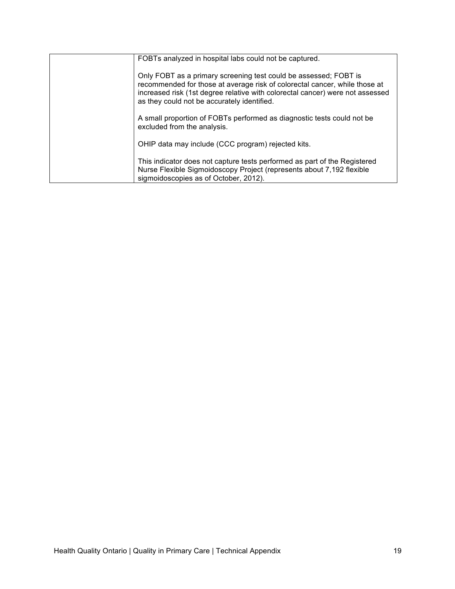| FOBTs analyzed in hospital labs could not be captured.                                                                                                                                                                                                                         |
|--------------------------------------------------------------------------------------------------------------------------------------------------------------------------------------------------------------------------------------------------------------------------------|
| Only FOBT as a primary screening test could be assessed; FOBT is<br>recommended for those at average risk of colorectal cancer, while those at<br>increased risk (1st degree relative with colorectal cancer) were not assessed<br>as they could not be accurately identified. |
| A small proportion of FOBTs performed as diagnostic tests could not be<br>excluded from the analysis.                                                                                                                                                                          |
| OHIP data may include (CCC program) rejected kits.                                                                                                                                                                                                                             |
| This indicator does not capture tests performed as part of the Registered<br>Nurse Flexible Sigmoidoscopy Project (represents about 7,192 flexible<br>sigmoidoscopies as of October, 2012).                                                                                    |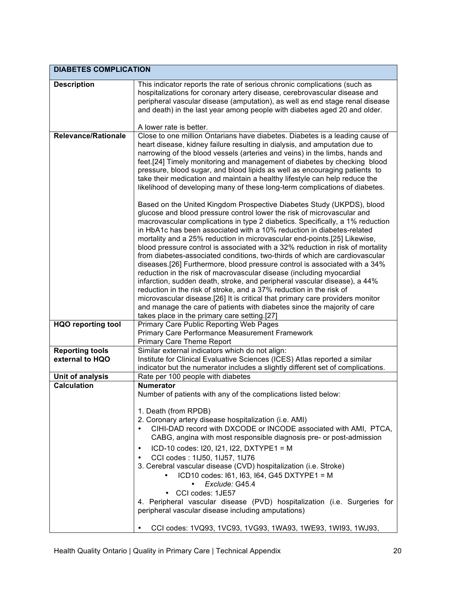| <b>DIABETES COMPLICATION</b> |                                                                                                                                                                                                                                                                                                                                                                                                                                                                                                                                                                                                                                                                                                                                                                                                                                                                                                                                                                                                                                                                               |
|------------------------------|-------------------------------------------------------------------------------------------------------------------------------------------------------------------------------------------------------------------------------------------------------------------------------------------------------------------------------------------------------------------------------------------------------------------------------------------------------------------------------------------------------------------------------------------------------------------------------------------------------------------------------------------------------------------------------------------------------------------------------------------------------------------------------------------------------------------------------------------------------------------------------------------------------------------------------------------------------------------------------------------------------------------------------------------------------------------------------|
| <b>Description</b>           | This indicator reports the rate of serious chronic complications (such as<br>hospitalizations for coronary artery disease, cerebrovascular disease and<br>peripheral vascular disease (amputation), as well as end stage renal disease<br>and death) in the last year among people with diabetes aged 20 and older.<br>A lower rate is better.                                                                                                                                                                                                                                                                                                                                                                                                                                                                                                                                                                                                                                                                                                                                |
| <b>Relevance/Rationale</b>   | Close to one million Ontarians have diabetes. Diabetes is a leading cause of                                                                                                                                                                                                                                                                                                                                                                                                                                                                                                                                                                                                                                                                                                                                                                                                                                                                                                                                                                                                  |
|                              | heart disease, kidney failure resulting in dialysis, and amputation due to<br>narrowing of the blood vessels (arteries and veins) in the limbs, hands and<br>feet.[24] Timely monitoring and management of diabetes by checking blood<br>pressure, blood sugar, and blood lipids as well as encouraging patients to<br>take their medication and maintain a healthy lifestyle can help reduce the<br>likelihood of developing many of these long-term complications of diabetes.                                                                                                                                                                                                                                                                                                                                                                                                                                                                                                                                                                                              |
|                              | Based on the United Kingdom Prospective Diabetes Study (UKPDS), blood<br>glucose and blood pressure control lower the risk of microvascular and<br>macrovascular complications in type 2 diabetics. Specifically, a 1% reduction<br>in HbA1c has been associated with a 10% reduction in diabetes-related<br>mortality and a 25% reduction in microvascular end-points.[25] Likewise,<br>blood pressure control is associated with a 32% reduction in risk of mortality<br>from diabetes-associated conditions, two-thirds of which are cardiovascular<br>diseases.[26] Furthermore, blood pressure control is associated with a 34%<br>reduction in the risk of macrovascular disease (including myocardial<br>infarction, sudden death, stroke, and peripheral vascular disease), a 44%<br>reduction in the risk of stroke, and a 37% reduction in the risk of<br>microvascular disease.[26] It is critical that primary care providers monitor<br>and manage the care of patients with diabetes since the majority of care<br>takes place in the primary care setting.[27] |
| <b>HQO reporting tool</b>    | <b>Primary Care Public Reporting Web Pages</b><br>Primary Care Performance Measurement Framework<br><b>Primary Care Theme Report</b>                                                                                                                                                                                                                                                                                                                                                                                                                                                                                                                                                                                                                                                                                                                                                                                                                                                                                                                                          |
| <b>Reporting tools</b>       | Similar external indicators which do not align:                                                                                                                                                                                                                                                                                                                                                                                                                                                                                                                                                                                                                                                                                                                                                                                                                                                                                                                                                                                                                               |
| external to HQO              | Institute for Clinical Evaluative Sciences (ICES) Atlas reported a similar<br>indicator but the numerator includes a slightly different set of complications.                                                                                                                                                                                                                                                                                                                                                                                                                                                                                                                                                                                                                                                                                                                                                                                                                                                                                                                 |
| Unit of analysis             | Rate per 100 people with diabetes                                                                                                                                                                                                                                                                                                                                                                                                                                                                                                                                                                                                                                                                                                                                                                                                                                                                                                                                                                                                                                             |
| <b>Calculation</b>           | <b>Numerator</b><br>Number of patients with any of the complications listed below:<br>1. Death (from RPDB)<br>2. Coronary artery disease hospitalization (i.e. AMI)<br>CIHI-DAD record with DXCODE or INCODE associated with AMI, PTCA,<br>$\bullet$<br>CABG, angina with most responsible diagnosis pre- or post-admission<br>ICD-10 codes: I20, I21, I22, DXTYPE1 = M<br>CCI codes: 1IJ50, 1IJ57, 1IJ76<br>3. Cerebral vascular disease (CVD) hospitalization (i.e. Stroke)<br>ICD10 codes: 161, 163, 164, G45 DXTYPE1 = M<br>Exclude: G45.4<br>• CCI codes: 1JE57<br>4. Peripheral vascular disease (PVD) hospitalization (i.e. Surgeries for<br>peripheral vascular disease including amputations)<br>CCI codes: 1VQ93, 1VC93, 1VG93, 1WA93, 1WE93, 1WI93, 1WJ93,                                                                                                                                                                                                                                                                                                         |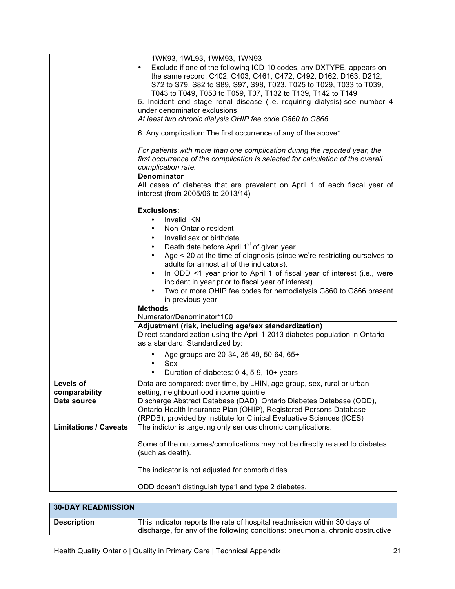|                              | 1WK93, 1WL93, 1WM93, 1WN93                                                                                                                                                                                                                                                                                                                                                                                                                                                                                                              |
|------------------------------|-----------------------------------------------------------------------------------------------------------------------------------------------------------------------------------------------------------------------------------------------------------------------------------------------------------------------------------------------------------------------------------------------------------------------------------------------------------------------------------------------------------------------------------------|
|                              | Exclude if one of the following ICD-10 codes, any DXTYPE, appears on<br>$\bullet$<br>the same record: C402, C403, C461, C472, C492, D162, D163, D212,<br>S72 to S79, S82 to S89, S97, S98, T023, T025 to T029, T033 to T039,<br>T043 to T049, T053 to T059, T07, T132 to T139, T142 to T149<br>5. Incident end stage renal disease (i.e. requiring dialysis)-see number 4<br>under denominator exclusions<br>At least two chronic dialysis OHIP fee code G860 to G866<br>6. Any complication: The first occurrence of any of the above* |
|                              |                                                                                                                                                                                                                                                                                                                                                                                                                                                                                                                                         |
|                              | For patients with more than one complication during the reported year, the<br>first occurrence of the complication is selected for calculation of the overall<br>complication rate.                                                                                                                                                                                                                                                                                                                                                     |
|                              | Denominator<br>All cases of diabetes that are prevalent on April 1 of each fiscal year of<br>interest (from 2005/06 to 2013/14)                                                                                                                                                                                                                                                                                                                                                                                                         |
|                              | <b>Exclusions:</b>                                                                                                                                                                                                                                                                                                                                                                                                                                                                                                                      |
|                              | Invalid IKN<br>$\bullet$                                                                                                                                                                                                                                                                                                                                                                                                                                                                                                                |
|                              | Non-Ontario resident                                                                                                                                                                                                                                                                                                                                                                                                                                                                                                                    |
|                              | Invalid sex or birthdate                                                                                                                                                                                                                                                                                                                                                                                                                                                                                                                |
|                              | Death date before April 1 <sup>st</sup> of given year<br>$\bullet$                                                                                                                                                                                                                                                                                                                                                                                                                                                                      |
|                              | Age < 20 at the time of diagnosis (since we're restricting ourselves to                                                                                                                                                                                                                                                                                                                                                                                                                                                                 |
|                              | adults for almost all of the indicators).                                                                                                                                                                                                                                                                                                                                                                                                                                                                                               |
|                              | In ODD <1 year prior to April 1 of fiscal year of interest (i.e., were<br>$\bullet$                                                                                                                                                                                                                                                                                                                                                                                                                                                     |
|                              | incident in year prior to fiscal year of interest)<br>Two or more OHIP fee codes for hemodialysis G860 to G866 present                                                                                                                                                                                                                                                                                                                                                                                                                  |
|                              | in previous year                                                                                                                                                                                                                                                                                                                                                                                                                                                                                                                        |
|                              | <b>Methods</b>                                                                                                                                                                                                                                                                                                                                                                                                                                                                                                                          |
|                              | Numerator/Denominator*100                                                                                                                                                                                                                                                                                                                                                                                                                                                                                                               |
|                              | Adjustment (risk, including age/sex standardization)                                                                                                                                                                                                                                                                                                                                                                                                                                                                                    |
|                              | Direct standardization using the April 1 2013 diabetes population in Ontario<br>as a standard. Standardized by:                                                                                                                                                                                                                                                                                                                                                                                                                         |
|                              | Age groups are 20-34, 35-49, 50-64, 65+                                                                                                                                                                                                                                                                                                                                                                                                                                                                                                 |
|                              | Sex<br>$\bullet$                                                                                                                                                                                                                                                                                                                                                                                                                                                                                                                        |
|                              | Duration of diabetes: 0-4, 5-9, 10+ years<br>٠                                                                                                                                                                                                                                                                                                                                                                                                                                                                                          |
| Levels of                    | Data are compared: over time, by LHIN, age group, sex, rural or urban                                                                                                                                                                                                                                                                                                                                                                                                                                                                   |
| comparability                | setting, neighbourhood income quintile                                                                                                                                                                                                                                                                                                                                                                                                                                                                                                  |
| Data source                  | Discharge Abstract Database (DAD), Ontario Diabetes Database (ODD),                                                                                                                                                                                                                                                                                                                                                                                                                                                                     |
|                              | Ontario Health Insurance Plan (OHIP), Registered Persons Database<br>(RPDB), provided by Institute for Clinical Evaluative Sciences (ICES)                                                                                                                                                                                                                                                                                                                                                                                              |
| <b>Limitations / Caveats</b> | The indictor is targeting only serious chronic complications.                                                                                                                                                                                                                                                                                                                                                                                                                                                                           |
|                              |                                                                                                                                                                                                                                                                                                                                                                                                                                                                                                                                         |
|                              | Some of the outcomes/complications may not be directly related to diabetes<br>(such as death).                                                                                                                                                                                                                                                                                                                                                                                                                                          |
|                              | The indicator is not adjusted for comorbidities.                                                                                                                                                                                                                                                                                                                                                                                                                                                                                        |
|                              | ODD doesn't distinguish type1 and type 2 diabetes.                                                                                                                                                                                                                                                                                                                                                                                                                                                                                      |

| <b>30-DAY READMISSION</b> |                                                                                                                                                             |
|---------------------------|-------------------------------------------------------------------------------------------------------------------------------------------------------------|
| <b>Description</b>        | This indicator reports the rate of hospital readmission within 30 days of<br>discharge, for any of the following conditions: pneumonia, chronic obstructive |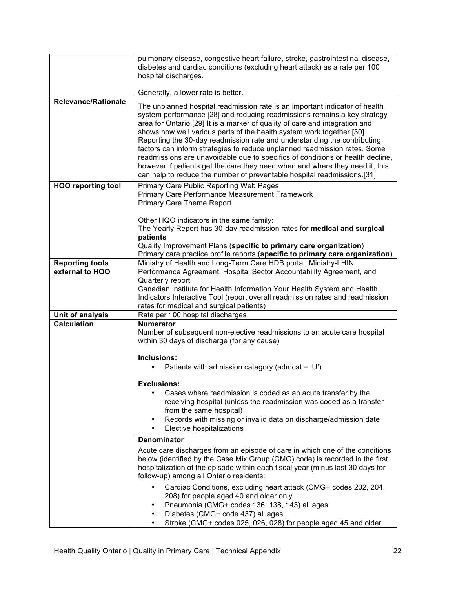|                                           | pulmonary disease, congestive heart failure, stroke, gastrointestinal disease,<br>diabetes and cardiac conditions (excluding heart attack) as a rate per 100<br>hospital discharges.<br>Generally, a lower rate is better.                                                                                                                                                                                                                                                                                                                                                                                                                                                                                           |
|-------------------------------------------|----------------------------------------------------------------------------------------------------------------------------------------------------------------------------------------------------------------------------------------------------------------------------------------------------------------------------------------------------------------------------------------------------------------------------------------------------------------------------------------------------------------------------------------------------------------------------------------------------------------------------------------------------------------------------------------------------------------------|
| <b>Relevance/Rationale</b>                | The unplanned hospital readmission rate is an important indicator of health<br>system performance [28] and reducing readmissions remains a key strategy<br>area for Ontario.[29] It is a marker of quality of care and integration and<br>shows how well various parts of the health system work together.[30]<br>Reporting the 30-day readmission rate and understanding the contributing<br>factors can inform strategies to reduce unplanned readmission rates. Some<br>readmissions are unavoidable due to specifics of conditions or health decline,<br>however if patients get the care they need when and where they need it, this<br>can help to reduce the number of preventable hospital readmissions.[31] |
| <b>HQO reporting tool</b>                 | Primary Care Public Reporting Web Pages<br>Primary Care Performance Measurement Framework<br><b>Primary Care Theme Report</b><br>Other HQO indicators in the same family:<br>The Yearly Report has 30-day readmission rates for medical and surgical                                                                                                                                                                                                                                                                                                                                                                                                                                                                 |
|                                           | patients<br>Quality Improvement Plans (specific to primary care organization)<br>Primary care practice profile reports (specific to primary care organization)                                                                                                                                                                                                                                                                                                                                                                                                                                                                                                                                                       |
| <b>Reporting tools</b><br>external to HQO | Ministry of Health and Long-Term Care HDB portal, Ministry-LHIN<br>Performance Agreement, Hospital Sector Accountability Agreement, and<br>Quarterly report.<br>Canadian Institute for Health Information Your Health System and Health<br>Indicators Interactive Tool (report overall readmission rates and readmission<br>rates for medical and surgical patients)                                                                                                                                                                                                                                                                                                                                                 |
| Unit of analysis                          | Rate per 100 hospital discharges                                                                                                                                                                                                                                                                                                                                                                                                                                                                                                                                                                                                                                                                                     |
| <b>Calculation</b>                        | <b>Numerator</b><br>Number of subsequent non-elective readmissions to an acute care hospital<br>within 30 days of discharge (for any cause)                                                                                                                                                                                                                                                                                                                                                                                                                                                                                                                                                                          |
|                                           | Inclusions:<br>Patients with admission category (admcat = 'U')                                                                                                                                                                                                                                                                                                                                                                                                                                                                                                                                                                                                                                                       |
|                                           | <b>Exclusions:</b><br>Cases where readmission is coded as an acute transfer by the<br>٠<br>receiving hospital (unless the readmission was coded as a transfer<br>from the same hospital)<br>Records with missing or invalid data on discharge/admission date<br>٠<br>Elective hospitalizations<br>٠                                                                                                                                                                                                                                                                                                                                                                                                                  |
|                                           | Denominator                                                                                                                                                                                                                                                                                                                                                                                                                                                                                                                                                                                                                                                                                                          |
|                                           | Acute care discharges from an episode of care in which one of the conditions<br>below (identified by the Case Mix Group (CMG) code) is recorded in the first<br>hospitalization of the episode within each fiscal year (minus last 30 days for<br>follow-up) among all Ontario residents:                                                                                                                                                                                                                                                                                                                                                                                                                            |
|                                           | Cardiac Conditions, excluding heart attack (CMG+ codes 202, 204,<br>$\bullet$<br>208) for people aged 40 and older only<br>Pneumonia (CMG+ codes 136, 138, 143) all ages<br>٠<br>Diabetes (CMG+ code 437) all ages<br>٠<br>Stroke (CMG+ codes 025, 026, 028) for people aged 45 and older<br>٠                                                                                                                                                                                                                                                                                                                                                                                                                       |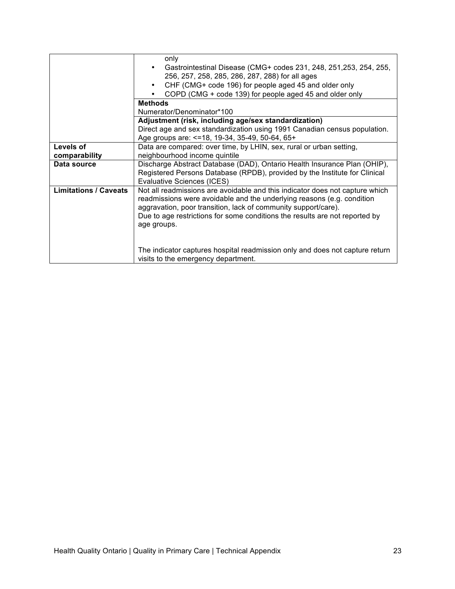|                              | only                                                                                                                                                                                                                                                                                                                   |
|------------------------------|------------------------------------------------------------------------------------------------------------------------------------------------------------------------------------------------------------------------------------------------------------------------------------------------------------------------|
|                              | Gastrointestinal Disease (CMG+ codes 231, 248, 251, 253, 254, 255,                                                                                                                                                                                                                                                     |
|                              | 256, 257, 258, 285, 286, 287, 288) for all ages                                                                                                                                                                                                                                                                        |
|                              | CHF (CMG+ code 196) for people aged 45 and older only                                                                                                                                                                                                                                                                  |
|                              | COPD (CMG + code 139) for people aged 45 and older only                                                                                                                                                                                                                                                                |
|                              | <b>Methods</b>                                                                                                                                                                                                                                                                                                         |
|                              | Numerator/Denominator*100                                                                                                                                                                                                                                                                                              |
|                              | Adjustment (risk, including age/sex standardization)                                                                                                                                                                                                                                                                   |
|                              | Direct age and sex standardization using 1991 Canadian census population.                                                                                                                                                                                                                                              |
|                              | Age groups are: <= 18, 19-34, 35-49, 50-64, 65+                                                                                                                                                                                                                                                                        |
| Levels of                    | Data are compared: over time, by LHIN, sex, rural or urban setting,                                                                                                                                                                                                                                                    |
| comparability                | neighbourhood income quintile                                                                                                                                                                                                                                                                                          |
| Data source                  | Discharge Abstract Database (DAD), Ontario Health Insurance Plan (OHIP),                                                                                                                                                                                                                                               |
|                              | Registered Persons Database (RPDB), provided by the Institute for Clinical                                                                                                                                                                                                                                             |
|                              | Evaluative Sciences (ICES)                                                                                                                                                                                                                                                                                             |
| <b>Limitations / Caveats</b> | Not all readmissions are avoidable and this indicator does not capture which<br>readmissions were avoidable and the underlying reasons (e.g. condition<br>aggravation, poor transition, lack of community support/care).<br>Due to age restrictions for some conditions the results are not reported by<br>age groups. |
|                              | The indicator captures hospital readmission only and does not capture return<br>visits to the emergency department.                                                                                                                                                                                                    |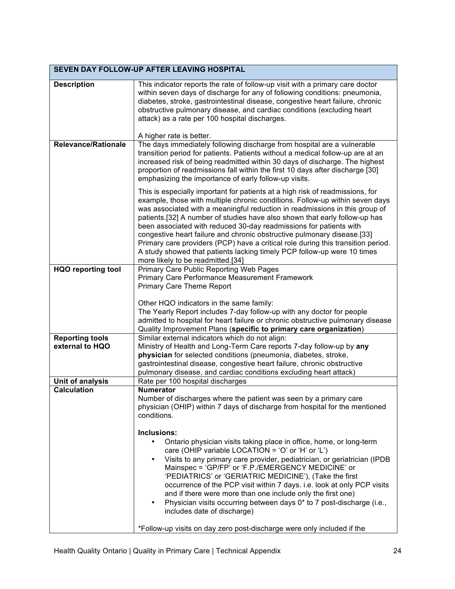| SEVEN DAY FOLLOW-UP AFTER LEAVING HOSPITAL |                                                                                                                                                                                                                                                                                                                                                                                                                                                                                                                                                                                                                                                                                 |
|--------------------------------------------|---------------------------------------------------------------------------------------------------------------------------------------------------------------------------------------------------------------------------------------------------------------------------------------------------------------------------------------------------------------------------------------------------------------------------------------------------------------------------------------------------------------------------------------------------------------------------------------------------------------------------------------------------------------------------------|
| <b>Description</b>                         | This indicator reports the rate of follow-up visit with a primary care doctor<br>within seven days of discharge for any of following conditions: pneumonia,<br>diabetes, stroke, gastrointestinal disease, congestive heart failure, chronic<br>obstructive pulmonary disease, and cardiac conditions (excluding heart<br>attack) as a rate per 100 hospital discharges.                                                                                                                                                                                                                                                                                                        |
|                                            | A higher rate is better.                                                                                                                                                                                                                                                                                                                                                                                                                                                                                                                                                                                                                                                        |
| <b>Relevance/Rationale</b>                 | The days immediately following discharge from hospital are a vulnerable<br>transition period for patients. Patients without a medical follow-up are at an<br>increased risk of being readmitted within 30 days of discharge. The highest<br>proportion of readmissions fall within the first 10 days after discharge [30]<br>emphasizing the importance of early follow-up visits.                                                                                                                                                                                                                                                                                              |
|                                            | This is especially important for patients at a high risk of readmissions, for<br>example, those with multiple chronic conditions. Follow-up within seven days<br>was associated with a meaningful reduction in readmissions in this group of<br>patients.[32] A number of studies have also shown that early follow-up has<br>been associated with reduced 30-day readmissions for patients with<br>congestive heart failure and chronic obstructive pulmonary disease.[33]<br>Primary care providers (PCP) have a critical role during this transition period.<br>A study showed that patients lacking timely PCP follow-up were 10 times<br>more likely to be readmitted.[34] |
| <b>HQO reporting tool</b>                  | Primary Care Public Reporting Web Pages                                                                                                                                                                                                                                                                                                                                                                                                                                                                                                                                                                                                                                         |
|                                            | <b>Primary Care Performance Measurement Framework</b><br><b>Primary Care Theme Report</b>                                                                                                                                                                                                                                                                                                                                                                                                                                                                                                                                                                                       |
|                                            |                                                                                                                                                                                                                                                                                                                                                                                                                                                                                                                                                                                                                                                                                 |
|                                            | Other HQO indicators in the same family:<br>The Yearly Report includes 7-day follow-up with any doctor for people<br>admitted to hospital for heart failure or chronic obstructive pulmonary disease<br>Quality Improvement Plans (specific to primary care organization)                                                                                                                                                                                                                                                                                                                                                                                                       |
| <b>Reporting tools</b>                     | Similar external indicators which do not align:                                                                                                                                                                                                                                                                                                                                                                                                                                                                                                                                                                                                                                 |
| external to HQO                            | Ministry of Health and Long-Term Care reports 7-day follow-up by any                                                                                                                                                                                                                                                                                                                                                                                                                                                                                                                                                                                                            |
|                                            | physician for selected conditions (pneumonia, diabetes, stroke,<br>gastrointestinal disease, congestive heart failure, chronic obstructive                                                                                                                                                                                                                                                                                                                                                                                                                                                                                                                                      |
|                                            | pulmonary disease, and cardiac conditions excluding heart attack)                                                                                                                                                                                                                                                                                                                                                                                                                                                                                                                                                                                                               |
| Unit of analysis                           | Rate per 100 hospital discharges                                                                                                                                                                                                                                                                                                                                                                                                                                                                                                                                                                                                                                                |
| <b>Calculation</b>                         | <b>Numerator</b><br>Number of discharges where the patient was seen by a primary care<br>physician (OHIP) within 7 days of discharge from hospital for the mentioned<br>conditions.                                                                                                                                                                                                                                                                                                                                                                                                                                                                                             |
|                                            | Inclusions:                                                                                                                                                                                                                                                                                                                                                                                                                                                                                                                                                                                                                                                                     |
|                                            | Ontario physician visits taking place in office, home, or long-term<br>care (OHIP variable LOCATION = 'O' or 'H' or 'L')                                                                                                                                                                                                                                                                                                                                                                                                                                                                                                                                                        |
|                                            | Visits to any primary care provider, pediatrician, or geriatrician (IPDB<br>$\bullet$<br>Mainspec = 'GP/FP' or 'F.P./EMERGENCY MEDICINE' or<br>'PEDIATRICS' or 'GERIATRIC MEDICINE'), (Take the first<br>occurrence of the PCP visit within 7 days. i.e. look at only PCP visits<br>and if there were more than one include only the first one)<br>Physician visits occurring between days 0* to 7 post-discharge (i.e.,<br>$\bullet$<br>includes date of discharge)<br>*Follow-up visits on day zero post-discharge were only included if the                                                                                                                                  |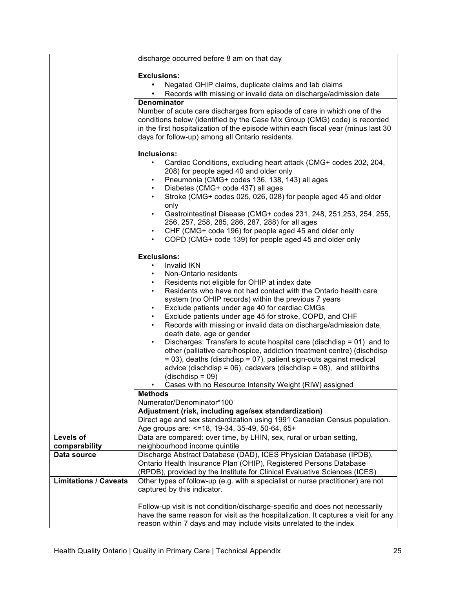|                              | discharge occurred before 8 am on that day                                                                                                     |
|------------------------------|------------------------------------------------------------------------------------------------------------------------------------------------|
|                              | <b>Exclusions:</b>                                                                                                                             |
|                              | Negated OHIP claims, duplicate claims and lab claims<br>$\bullet$                                                                              |
|                              | Records with missing or invalid data on discharge/admission date<br>$\bullet$                                                                  |
|                              | <b>Denominator</b>                                                                                                                             |
|                              | Number of acute care discharges from episode of care in which one of the                                                                       |
|                              | conditions below (identified by the Case Mix Group (CMG) code) is recorded                                                                     |
|                              | in the first hospitalization of the episode within each fiscal year (minus last 30                                                             |
|                              | days for follow-up) among all Ontario residents.                                                                                               |
|                              |                                                                                                                                                |
|                              | Inclusions:                                                                                                                                    |
|                              | Cardiac Conditions, excluding heart attack (CMG+ codes 202, 204,<br>208) for people aged 40 and older only                                     |
|                              | Pneumonia (CMG+ codes 136, 138, 143) all ages<br>$\bullet$                                                                                     |
|                              | Diabetes (CMG+ code 437) all ages<br>$\bullet$                                                                                                 |
|                              | Stroke (CMG+ codes 025, 026, 028) for people aged 45 and older<br>$\bullet$                                                                    |
|                              | only                                                                                                                                           |
|                              | Gastrointestinal Disease (CMG+ codes 231, 248, 251, 253, 254, 255,<br>$\bullet$                                                                |
|                              | 256, 257, 258, 285, 286, 287, 288) for all ages                                                                                                |
|                              | CHF (CMG+ code 196) for people aged 45 and older only<br>$\bullet$                                                                             |
|                              | COPD (CMG+ code 139) for people aged 45 and older only<br>$\bullet$                                                                            |
|                              | <b>Exclusions:</b>                                                                                                                             |
|                              | Invalid IKN<br>٠                                                                                                                               |
|                              | Non-Ontario residents<br>$\bullet$                                                                                                             |
|                              | Residents not eligible for OHIP at index date<br>$\bullet$                                                                                     |
|                              | Residents who have not had contact with the Ontario health care<br>$\bullet$                                                                   |
|                              | system (no OHIP records) within the previous 7 years                                                                                           |
|                              | Exclude patients under age 40 for cardiac CMGs<br>$\bullet$<br>$\bullet$                                                                       |
|                              | Exclude patients under age 45 for stroke, COPD, and CHF<br>Records with missing or invalid data on discharge/admission date,<br>$\bullet$      |
|                              | death date, age or gender                                                                                                                      |
|                              | Discharges: Transfers to acute hospital care (dischdisp = 01) and to<br>$\bullet$                                                              |
|                              | other (palliative care/hospice, addiction treatment centre) (dischdisp                                                                         |
|                              | = 03), deaths (dischdisp = 07), patient sign-outs against medical                                                                              |
|                              | advice (dischdisp = $06$ ), cadavers (dischdisp = $08$ ), and stillbirths                                                                      |
|                              | $(dischdisp = 09)$                                                                                                                             |
|                              | Cases with no Resource Intensity Weight (RIW) assigned                                                                                         |
|                              | <b>Methods</b><br>Numerator/Denominator*100                                                                                                    |
|                              | Adjustment (risk, including age/sex standardization)                                                                                           |
|                              | Direct age and sex standardization using 1991 Canadian Census population.                                                                      |
|                              | Age groups are: <= 18, 19-34, 35-49, 50-64, 65+                                                                                                |
| Levels of                    | Data are compared: over time, by LHIN, sex, rural or urban setting,                                                                            |
| comparability                | neighbourhood income quintile                                                                                                                  |
| Data source                  | Discharge Abstract Database (DAD), ICES Physician Database (IPDB),                                                                             |
|                              | Ontario Health Insurance Plan (OHIP), Registered Persons Database<br>(RPDB), provided by the Institute for Clinical Evaluative Sciences (ICES) |
| <b>Limitations / Caveats</b> | Other types of follow-up (e.g. with a specialist or nurse practitioner) are not                                                                |
|                              | captured by this indicator.                                                                                                                    |
|                              |                                                                                                                                                |
|                              | Follow-up visit is not condition/discharge-specific and does not necessarily                                                                   |
|                              | have the same reason for visit as the hospitalization. It captures a visit for any                                                             |
|                              | reason within 7 days and may include visits unrelated to the index                                                                             |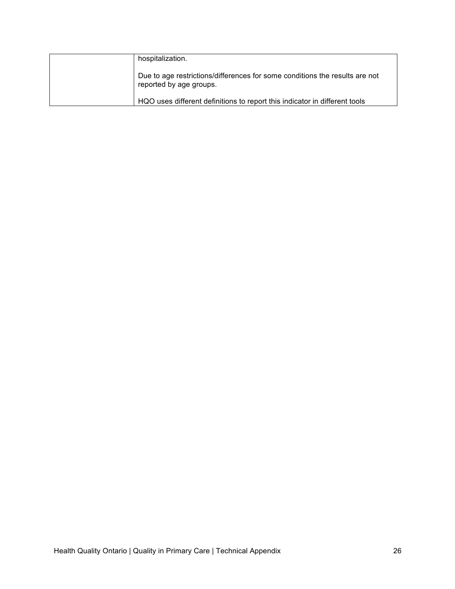| hospitalization.                                                                                       |
|--------------------------------------------------------------------------------------------------------|
| Due to age restrictions/differences for some conditions the results are not<br>reported by age groups. |
| HQO uses different definitions to report this indicator in different tools                             |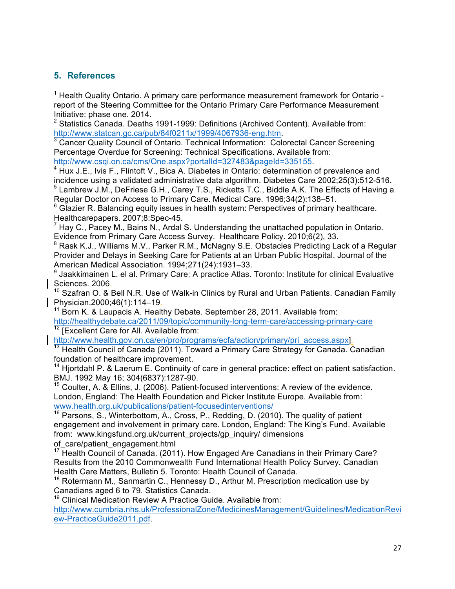## **5. References**

 

 $1$  Health Quality Ontario. A primary care performance measurement framework for Ontario report of the Steering Committee for the Ontario Primary Care Performance Measurement

Initiative: phase one. 2014.<br><sup>2</sup> Statistics Canada. Deaths 1991-1999: Definitions (Archived Content). Available from: http://www.statcan.gc.ca/pub/84f0211x/1999/4067936-eng.htm.<br><sup>3</sup> Cancer Quality Council of Ontario. Technical Information: Colorectal Cancer Screening

Percentage Overdue for Screening: Technical Specifications. Available from:

http://www.csqi.on.ca/cms/One.aspx?portalId=327483&pageId=335155.<br><sup>4</sup> Hux J.E., Ivis F., Flintoft V., Bica A. Diabetes in Ontario: determination of prevalence and incidence using a validated administrative data algorithm. Diabetes Care 2002;25(3):512-516.  $<sup>5</sup>$  Lambrew J.M., DeFriese G.H., Carey T.S., Ricketts T.C., Biddle A.K. The Effects of Having a</sup> Regular Doctor on Access to Primary Care. Medical Care. 1996;34(2):138–51.

 $6$  Glazier R. Balancing equity issues in health system: Perspectives of primary healthcare. Healthcarepapers. 2007;8:Spec-45.

 $^7$  Hay C., Pacey M., Bains N., Ardal S. Understanding the unattached population in Ontario. Evidence from Primary Care Access Survey. Healthcare Policy. 2010;6(2), 33.

<sup>8</sup> Rask K.J., Williams M.V., Parker R.M., McNagny S.E. Obstacles Predicting Lack of a Regular Provider and Delays in Seeking Care for Patients at an Urban Public Hospital. Journal of the American Medical Association. 1994;271(24):1931–33.

Jaakkimainen L. el al. Primary Care: A practice Atlas. Toronto: Institute for clinical Evaluative

Sciences. 2006.<br><sup>10</sup> Szafran O. & Bell N.R. Use of Walk-in Clinics by Rural and Urban Patients. Canadian Family Physician.2000;46(1):114–19. 11 Born Born Born Born K. & Laupacis A. Healthy Debate. September 28, 2011. Available from:

http://healthydebate.ca/2011/09/topic/community-long-term-care/accessing-primary-care  $12$  [Excellent Care for All. Available from:

http://www.health.gov.on.ca/en/pro/programs/ecfa/action/primary/pri\_access.aspx].<br><sup>13</sup> Health Council of Canada (2011). Toward a Primary Care Strategy for Canada. Canadian foundation of healthcare improvement.

 $14$  Hjortdahl P. & Laerum E. Continuity of care in general practice: effect on patient satisfaction. BMJ. 1992 May 16; 304(6837):1287-90.

 $15$  Coulter, A. & Ellins, J. (2006). Patient-focused interventions: A review of the evidence. London, England: The Health Foundation and Picker Institute Europe. Available from: www.health.org.uk/publications/patient-focusedinterventions/

<sup>16</sup> Parsons, S., Winterbottom, A., Cross, P., Redding, D. (2010). The quality of patient engagement and involvement in primary care. London, England: The King's Fund. Available from: www.kingsfund.org.uk/current\_projects/gp\_inquiry/ dimensions

 $17$  Health Council of Canada. (2011). How Engaged Are Canadians in their Primary Care? Results from the 2010 Commonwealth Fund International Health Policy Survey. Canadian Health Care Matters, Bulletin 5. Toronto: Health Council of Canada.

 $18$  Rotermann M., Sanmartin C., Hennessy D., Arthur M. Prescription medication use by Canadians aged 6 to 79. Statistics Canada.

<sup>19</sup> Clinical Medication Review A Practice Guide. Available from:

http://www.cumbria.nhs.uk/ProfessionalZone/MedicinesManagement/Guidelines/MedicationRevi ew-PracticeGuide2011.pdf.